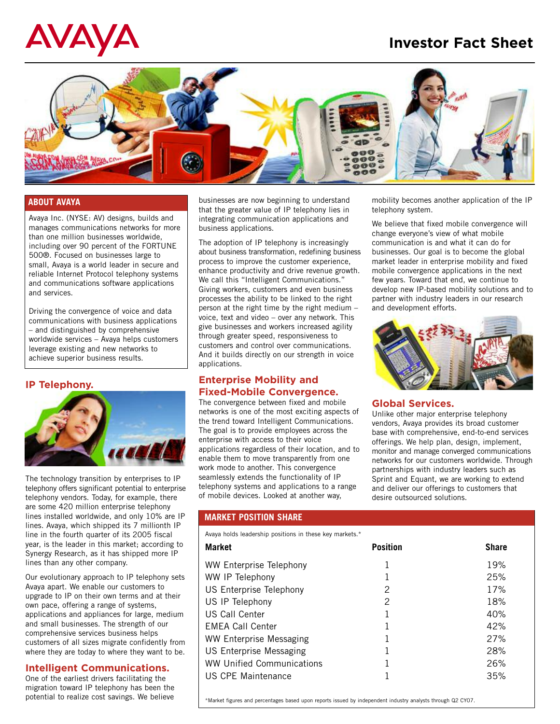# **Investor Fact Sheet**

# AVAYA



#### **ABOUT AVAYA**

Avaya Inc. (NYSE: AV) designs, builds and manages communications networks for more than one million businesses worldwide, including over 90 percent of the FORTUNE 500®. Focused on businesses large to small, Avaya is a world leader in secure and reliable Internet Protocol telephony systems and communications software applications and services.

Driving the convergence of voice and data communications with business applications – and distinguished by comprehensive worldwide services – Avaya helps customers leverage existing and new networks to achieve superior business results.

# **IP Telephony.**



The technology transition by enterprises to IP telephony offers significant potential to enterprise telephony vendors. Today, for example, there are some 420 million enterprise telephony lines installed worldwide, and only 10% are IP lines. Avaya, which shipped its 7 millionth IP line in the fourth quarter of its 2005 fiscal year, is the leader in this market; according to Synergy Research, as it has shipped more IP lines than any other company.

Our evolutionary approach to IP telephony sets Avaya apart. We enable our customers to upgrade to IP on their own terms and at their own pace, offering a range of systems, applications and appliances for large, medium and small businesses. The strength of our comprehensive services business helps customers of all sizes migrate confidently from where they are today to where they want to be.

# **Intelligent Communications.**

One of the earliest drivers facilitating the migration toward IP telephony has been the potential to realize cost savings. We believe

businesses are now beginning to understand that the greater value of IP telephony lies in integrating communication applications and business applications.

The adoption of IP telephony is increasingly about business transformation, redefining business process to improve the customer experience, enhance productivity and drive revenue growth. We call this "Intelligent Communications." Giving workers, customers and even business processes the ability to be linked to the right person at the right time by the right medium – voice, text and video – over any network. This give businesses and workers increased agility through greater speed, responsiveness to customers and control over communications. And it builds directly on our strength in voice applications.

# **Enterprise Mobility and Fixed-Mobile Convergence.**

The convergence between fixed and mobile networks is one of the most exciting aspects of the trend toward Intelligent Communications. The goal is to provide employees across the enterprise with access to their voice applications regardless of their location, and to enable them to move transparently from one work mode to another. This convergence seamlessly extends the functionality of IP telephony systems and applications to a range of mobile devices. Looked at another way,

# **MARKET POSITION SHARE**

Avaya holds leadership positions in these key markets.\*

**Market Position Share** WW Enterprise Telephony 1 1 19% WW IP Telephony 1 25% US Enterprise Telephony 2 2 17% US IP Telephony 2 2 18% US Call Center 1 1 40% EMEA Call Center 1 1 42% WW Enterprise Messaging 1 27% US Enterprise Messaging 1 1 28% WW Unified Communications 1 1 26% US CPE Maintenance  $\qquad \qquad 1$   $\qquad \qquad 35\%$ 

\*Market figures and percentages based upon reports issued by independent industry analysts through Q2 CY07.

mobility becomes another application of the IP telephony system.

We believe that fixed mobile convergence will change everyone's view of what mobile communication is and what it can do for businesses. Our goal is to become the global market leader in enterprise mobility and fixed mobile convergence applications in the next few years. Toward that end, we continue to develop new IP-based mobility solutions and to partner with industry leaders in our research and development efforts.



# **Global Services.**

Unlike other major enterprise telephony vendors, Avaya provides its broad customer base with comprehensive, end-to-end services offerings. We help plan, design, implement, monitor and manage converged communications networks for our customers worldwide. Through partnerships with industry leaders such as Sprint and Equant, we are working to extend and deliver our offerings to customers that desire outsourced solutions.